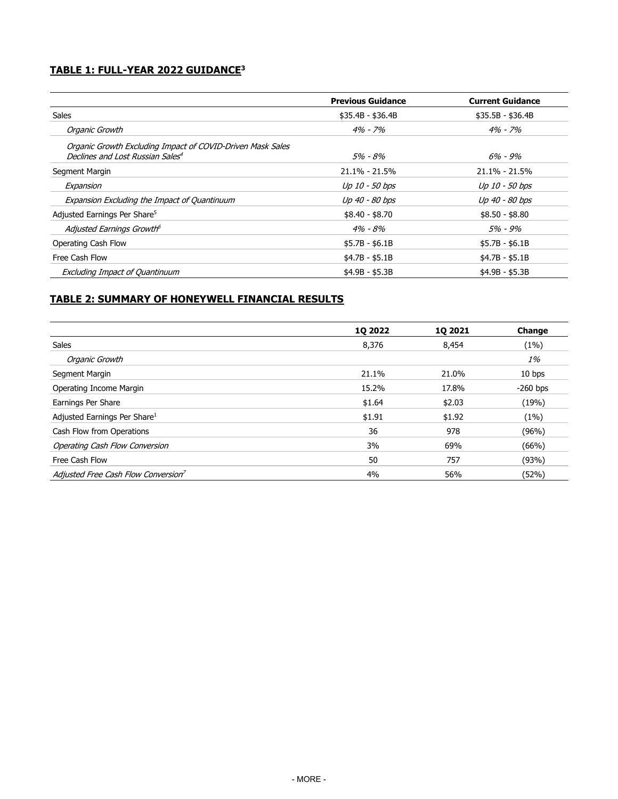# **TABLE 1: FULL-YEAR 2022 GUIDANCE<sup>3</sup>**

|                                                            | <b>Previous Guidance</b> | <b>Current Guidance</b> |
|------------------------------------------------------------|--------------------------|-------------------------|
| Sales                                                      | $$35.4B - $36.4B$        | $$35.5B - $36.4B$       |
| Organic Growth                                             | $4\% - 7\%$              | $4\% - 7\%$             |
| Organic Growth Excluding Impact of COVID-Driven Mask Sales |                          |                         |
| Declines and Lost Russian Sales <sup>4</sup>               | 5% - 8%                  | $6\% - 9\%$             |
| Segment Margin                                             | $21.1\% - 21.5\%$        | $21.1\% - 21.5\%$       |
| Expansion                                                  | Up 10 - 50 bps           | Up 10 - 50 bps          |
| Expansion Excluding the Impact of Quantinuum               | Up 40 - 80 bps           | Up 40 - 80 bps          |
| Adjusted Earnings Per Share <sup>5</sup>                   | $$8.40 - $8.70$          | $$8.50 - $8.80$         |
| Adjusted Earnings Growth <sup>6</sup>                      | $4\% - 8\%$              | 5% - 9%                 |
| Operating Cash Flow                                        | $$5.7B - $6.1B$          | $$5.7B - $6.1B$         |
| Free Cash Flow                                             | $$4.7B - $5.1B$          | $$4.7B - $5.1B$         |
| <b>Excluding Impact of Quantinuum</b>                      | $$4.9B - $5.3B$          | $$4.9B - $5.3B$         |

# **TABLE 2: SUMMARY OF HONEYWELL FINANCIAL RESULTS**

|                                                 | <b>1Q 2022</b> | <b>1Q 2021</b> | Change     |
|-------------------------------------------------|----------------|----------------|------------|
| <b>Sales</b>                                    | 8,376          | 8,454          | (1%)       |
| Organic Growth                                  |                |                | 1%         |
| Segment Margin                                  | 21.1%          | 21.0%          | 10 bps     |
| Operating Income Margin                         | 15.2%          | 17.8%          | $-260$ bps |
| Earnings Per Share                              | \$1.64         | \$2.03         | (19%)      |
| Adjusted Earnings Per Share <sup>1</sup>        | \$1.91         | \$1.92         | (1%)       |
| Cash Flow from Operations                       | 36             | 978            | (96%)      |
| Operating Cash Flow Conversion                  | 3%             | 69%            | (66%)      |
| Free Cash Flow                                  | 50             | 757            | (93%)      |
| Adjusted Free Cash Flow Conversion <sup>7</sup> | 4%             | 56%            | (52%)      |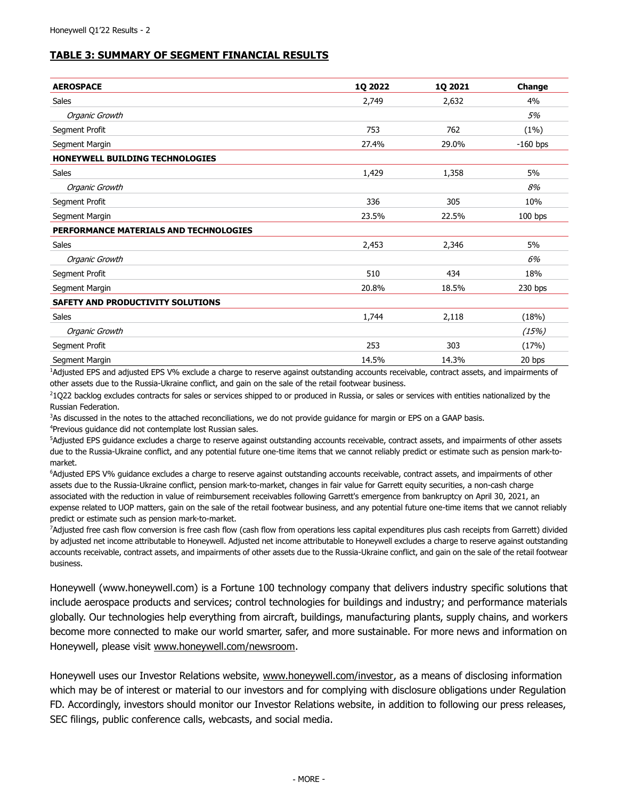# **TABLE 3: SUMMARY OF SEGMENT FINANCIAL RESULTS**

| <b>AEROSPACE</b>                       | 1Q 2022 | 1Q 2021 | Change     |
|----------------------------------------|---------|---------|------------|
| <b>Sales</b>                           | 2,749   | 2,632   | 4%         |
| Organic Growth                         |         |         | 5%         |
| Segment Profit                         | 753     | 762     | (1%)       |
| Segment Margin                         | 27.4%   | 29.0%   | $-160$ bps |
| HONEYWELL BUILDING TECHNOLOGIES        |         |         |            |
| Sales                                  | 1,429   | 1,358   | 5%         |
| Organic Growth                         |         |         | 8%         |
| Segment Profit                         | 336     | 305     | 10%        |
| Segment Margin                         | 23.5%   | 22.5%   |            |
| PERFORMANCE MATERIALS AND TECHNOLOGIES |         |         |            |
| <b>Sales</b>                           | 2,453   | 2,346   | 5%         |
| Organic Growth                         |         |         | 6%         |
| Segment Profit                         | 510     | 434     | 18%        |
| Segment Margin                         | 20.8%   | 18.5%   | 230 bps    |
| SAFETY AND PRODUCTIVITY SOLUTIONS      |         |         |            |
| Sales                                  | 1,744   | 2,118   | (18%)      |
| Organic Growth                         |         |         | (15%)      |
| Segment Profit                         | 253     | 303     | (17%)      |
| Segment Margin                         | 14.5%   | 14.3%   | 20 bps     |

<sup>1</sup>Adjusted EPS and adjusted EPS V% exclude a charge to reserve against outstanding accounts receivable, contract assets, and impairments of other assets due to the Russia-Ukraine conflict, and gain on the sale of the retail footwear business.

<sup>2</sup>1Q22 backlog excludes contracts for sales or services shipped to or produced in Russia, or sales or services with entities nationalized by the Russian Federation.

<sup>3</sup>As discussed in the notes to the attached reconciliations, we do not provide quidance for margin or EPS on a GAAP basis.

<sup>4</sup>Previous guidance did not contemplate lost Russian sales.

<sup>5</sup>Adjusted EPS guidance excludes a charge to reserve against outstanding accounts receivable, contract assets, and impairments of other assets due to the Russia-Ukraine conflict, and any potential future one-time items that we cannot reliably predict or estimate such as pension mark-tomarket.

<sup>6</sup>Adjusted EPS V% guidance excludes a charge to reserve against outstanding accounts receivable, contract assets, and impairments of other assets due to the Russia-Ukraine conflict, pension mark-to-market, changes in fair value for Garrett equity securities, a non-cash charge associated with the reduction in value of reimbursement receivables following Garrett's emergence from bankruptcy on April 30, 2021, an expense related to UOP matters, gain on the sale of the retail footwear business, and any potential future one-time items that we cannot reliably predict or estimate such as pension mark-to-market.

<sup>7</sup>Adjusted free cash flow conversion is free cash flow (cash flow from operations less capital expenditures plus cash receipts from Garrett) divided by adjusted net income attributable to Honeywell. Adjusted net income attributable to Honeywell excludes a charge to reserve against outstanding accounts receivable, contract assets, and impairments of other assets due to the Russia-Ukraine conflict, and gain on the sale of the retail footwear business.

Honeywell (www.honeywell.com) is a Fortune 100 technology company that delivers industry specific solutions that include aerospace products and services; control technologies for buildings and industry; and performance materials globally. Our technologies help everything from aircraft, buildings, manufacturing plants, supply chains, and workers become more connected to make our world smarter, safer, and more sustainable. For more news and information on Honeywell, please visit www.honeywell.com/newsroom.

Honeywell uses our Investor Relations website, www.honeywell.com/investor, as a means of disclosing information which may be of interest or material to our investors and for complying with disclosure obligations under Regulation FD. Accordingly, investors should monitor our Investor Relations website, in addition to following our press releases, SEC filings, public conference calls, webcasts, and social media.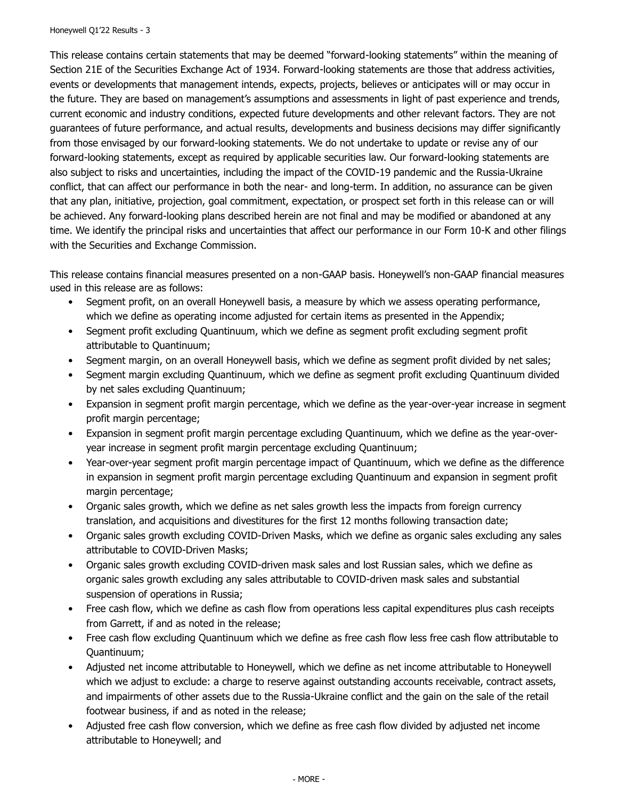This release contains certain statements that may be deemed "forward-looking statements" within the meaning of Section 21E of the Securities Exchange Act of 1934. Forward-looking statements are those that address activities, events or developments that management intends, expects, projects, believes or anticipates will or may occur in the future. They are based on management's assumptions and assessments in light of past experience and trends, current economic and industry conditions, expected future developments and other relevant factors. They are not guarantees of future performance, and actual results, developments and business decisions may differ significantly from those envisaged by our forward-looking statements. We do not undertake to update or revise any of our forward-looking statements, except as required by applicable securities law. Our forward-looking statements are also subject to risks and uncertainties, including the impact of the COVID-19 pandemic and the Russia-Ukraine conflict, that can affect our performance in both the near- and long-term. In addition, no assurance can be given that any plan, initiative, projection, goal commitment, expectation, or prospect set forth in this release can or will be achieved. Any forward-looking plans described herein are not final and may be modified or abandoned at any time. We identify the principal risks and uncertainties that affect our performance in our Form 10-K and other filings with the Securities and Exchange Commission.

This release contains financial measures presented on a non-GAAP basis. Honeywell's non-GAAP financial measures used in this release are as follows:

- Segment profit, on an overall Honeywell basis, a measure by which we assess operating performance, which we define as operating income adjusted for certain items as presented in the Appendix;
- Segment profit excluding Quantinuum, which we define as segment profit excluding segment profit attributable to Quantinuum;
- Segment margin, on an overall Honeywell basis, which we define as segment profit divided by net sales;
- Segment margin excluding Quantinuum, which we define as segment profit excluding Quantinuum divided by net sales excluding Quantinuum;
- Expansion in segment profit margin percentage, which we define as the year-over-year increase in segment profit margin percentage;
- Expansion in segment profit margin percentage excluding Quantinuum, which we define as the year-overyear increase in segment profit margin percentage excluding Quantinuum;
- Year-over-year segment profit margin percentage impact of Quantinuum, which we define as the difference in expansion in segment profit margin percentage excluding Quantinuum and expansion in segment profit margin percentage;
- Organic sales growth, which we define as net sales growth less the impacts from foreign currency translation, and acquisitions and divestitures for the first 12 months following transaction date;
- Organic sales growth excluding COVID-Driven Masks, which we define as organic sales excluding any sales attributable to COVID-Driven Masks;
- Organic sales growth excluding COVID-driven mask sales and lost Russian sales, which we define as organic sales growth excluding any sales attributable to COVID-driven mask sales and substantial suspension of operations in Russia;
- Free cash flow, which we define as cash flow from operations less capital expenditures plus cash receipts from Garrett, if and as noted in the release;
- Free cash flow excluding Quantinuum which we define as free cash flow less free cash flow attributable to Quantinuum;
- Adjusted net income attributable to Honeywell, which we define as net income attributable to Honeywell which we adjust to exclude: a charge to reserve against outstanding accounts receivable, contract assets, and impairments of other assets due to the Russia-Ukraine conflict and the gain on the sale of the retail footwear business, if and as noted in the release;
- Adjusted free cash flow conversion, which we define as free cash flow divided by adjusted net income attributable to Honeywell; and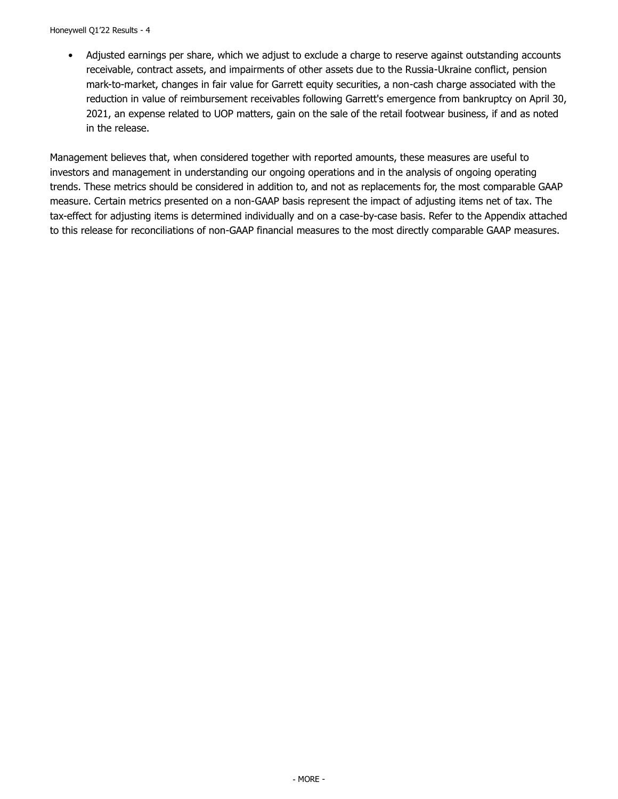• Adjusted earnings per share, which we adjust to exclude a charge to reserve against outstanding accounts receivable, contract assets, and impairments of other assets due to the Russia-Ukraine conflict, pension mark-to-market, changes in fair value for Garrett equity securities, a non-cash charge associated with the reduction in value of reimbursement receivables following Garrett's emergence from bankruptcy on April 30, 2021, an expense related to UOP matters, gain on the sale of the retail footwear business, if and as noted in the release.

Management believes that, when considered together with reported amounts, these measures are useful to investors and management in understanding our ongoing operations and in the analysis of ongoing operating trends. These metrics should be considered in addition to, and not as replacements for, the most comparable GAAP measure. Certain metrics presented on a non-GAAP basis represent the impact of adjusting items net of tax. The tax-effect for adjusting items is determined individually and on a case-by-case basis. Refer to the Appendix attached to this release for reconciliations of non-GAAP financial measures to the most directly comparable GAAP measures.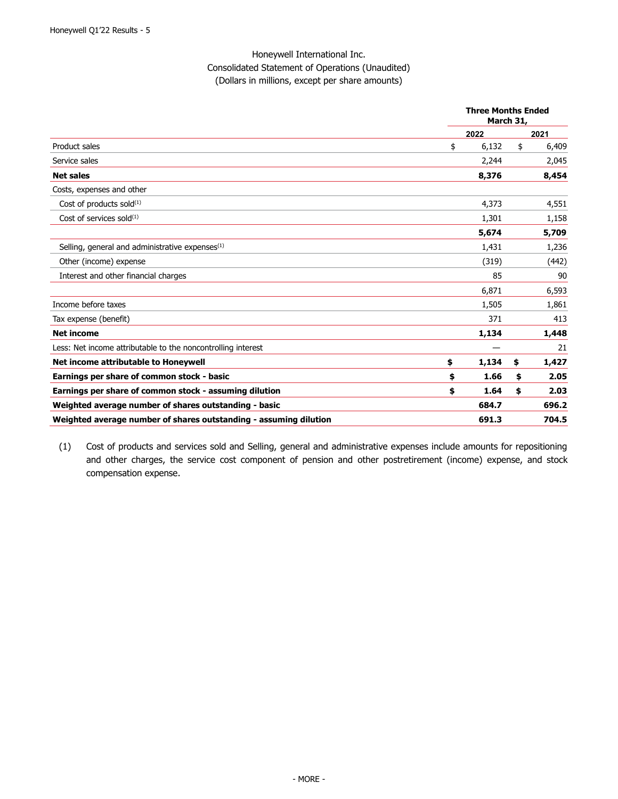### Honeywell International Inc. Consolidated Statement of Operations (Unaudited) (Dollars in millions, except per share amounts)

|                                                                   | <b>Three Months Ended</b><br>March 31, |       |    |       |
|-------------------------------------------------------------------|----------------------------------------|-------|----|-------|
|                                                                   |                                        | 2022  |    | 2021  |
| Product sales                                                     | \$                                     | 6,132 | \$ | 6,409 |
| Service sales                                                     |                                        | 2,244 |    | 2,045 |
| <b>Net sales</b>                                                  |                                        | 8,376 |    | 8,454 |
| Costs, expenses and other                                         |                                        |       |    |       |
| Cost of products sold $(1)$                                       |                                        | 4,373 |    | 4,551 |
| Cost of services sold $^{(1)}$                                    |                                        | 1,301 |    | 1,158 |
|                                                                   |                                        | 5,674 |    | 5,709 |
| Selling, general and administrative expenses <sup>(1)</sup>       |                                        | 1,431 |    | 1,236 |
| Other (income) expense                                            |                                        | (319) |    | (442) |
| Interest and other financial charges                              |                                        | 85    |    | 90    |
|                                                                   |                                        | 6,871 |    | 6,593 |
| Income before taxes                                               |                                        | 1,505 |    | 1,861 |
| Tax expense (benefit)                                             |                                        | 371   |    | 413   |
| <b>Net income</b>                                                 |                                        | 1,134 |    | 1,448 |
| Less: Net income attributable to the noncontrolling interest      |                                        |       |    | 21    |
| Net income attributable to Honeywell                              | \$                                     | 1,134 | \$ | 1,427 |
| Earnings per share of common stock - basic                        | \$                                     | 1.66  | \$ | 2.05  |
| Earnings per share of common stock - assuming dilution            | \$                                     | 1.64  | \$ | 2.03  |
| Weighted average number of shares outstanding - basic             |                                        | 684.7 |    | 696.2 |
| Weighted average number of shares outstanding - assuming dilution |                                        | 691.3 |    | 704.5 |

(1) Cost of products and services sold and Selling, general and administrative expenses include amounts for repositioning and other charges, the service cost component of pension and other postretirement (income) expense, and stock compensation expense.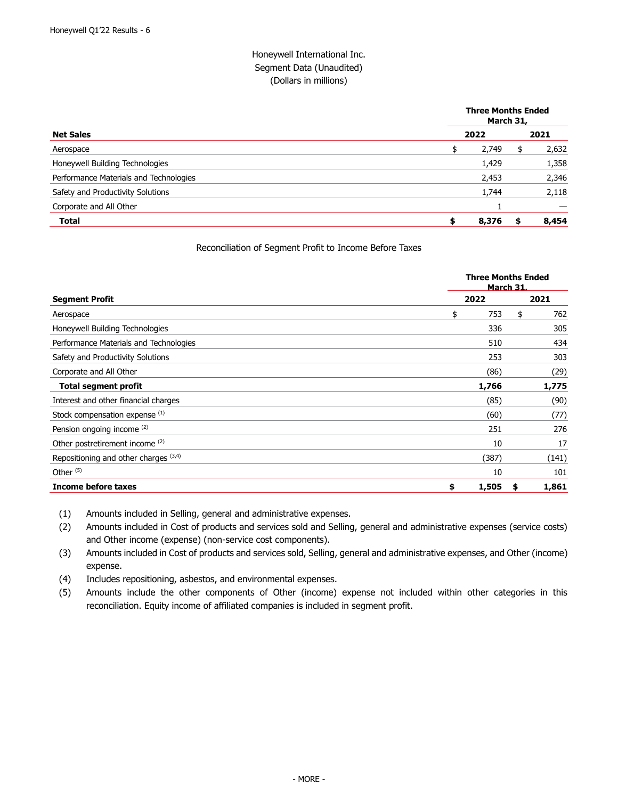### Honeywell International Inc. Segment Data (Unaudited) (Dollars in millions)

|                                        | <b>Three Months Ended</b><br>March 31, |       |    |       |  |
|----------------------------------------|----------------------------------------|-------|----|-------|--|
| <b>Net Sales</b>                       |                                        | 2022  |    | 2021  |  |
| Aerospace                              | \$                                     | 2,749 | \$ | 2,632 |  |
| Honeywell Building Technologies        |                                        | 1,429 |    | 1,358 |  |
| Performance Materials and Technologies |                                        | 2,453 |    | 2,346 |  |
| Safety and Productivity Solutions      |                                        | 1,744 |    | 2,118 |  |
| Corporate and All Other                |                                        |       |    |       |  |
| <b>Total</b>                           | \$                                     | 8,376 |    | 8,454 |  |

#### Reconciliation of Segment Profit to Income Before Taxes

|                                        |             | <b>Three Months Ended</b><br><b>March 31.</b> |
|----------------------------------------|-------------|-----------------------------------------------|
| <b>Segment Profit</b>                  | 2022        | 2021                                          |
| Aerospace                              | \$<br>753   | \$<br>762                                     |
| Honeywell Building Technologies        | 336         | 305                                           |
| Performance Materials and Technologies | 510         | 434                                           |
| Safety and Productivity Solutions      | 253         | 303                                           |
| Corporate and All Other                | (86)        | (29)                                          |
| <b>Total segment profit</b>            | 1,766       | 1,775                                         |
| Interest and other financial charges   | (85)        | (90)                                          |
| Stock compensation expense (1)         | (60)        | (77)                                          |
| Pension ongoing income (2)             | 251         | 276                                           |
| Other postretirement income (2)        | 10          | 17                                            |
| Repositioning and other charges (3,4)  | (387)       | (141)                                         |
| Other $(5)$                            | 10          | 101                                           |
| Income before taxes                    | 1,505<br>\$ | 1,861<br>\$                                   |

(1) Amounts included in Selling, general and administrative expenses.

(2) Amounts included in Cost of products and services sold and Selling, general and administrative expenses (service costs) and Other income (expense) (non-service cost components).

(3) Amounts included in Cost of products and services sold, Selling, general and administrative expenses, and Other (income) expense.

(4) Includes repositioning, asbestos, and environmental expenses.

(5) Amounts include the other components of Other (income) expense not included within other categories in this reconciliation. Equity income of affiliated companies is included in segment profit.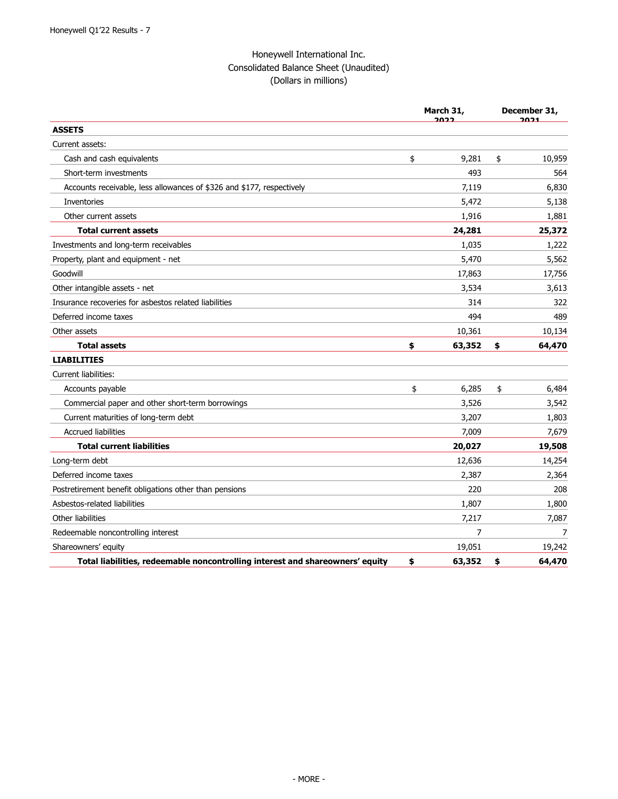# Honeywell International Inc. Consolidated Balance Sheet (Unaudited) (Dollars in millions)

|                                                                               |    | March 31,<br>ררחר | December 31,<br>2021 |        |  |
|-------------------------------------------------------------------------------|----|-------------------|----------------------|--------|--|
| <b>ASSETS</b>                                                                 |    |                   |                      |        |  |
| Current assets:                                                               |    |                   |                      |        |  |
| Cash and cash equivalents                                                     | \$ | 9,281             | \$                   | 10,959 |  |
| Short-term investments                                                        |    | 493               |                      | 564    |  |
| Accounts receivable, less allowances of \$326 and \$177, respectively         |    | 7,119             |                      | 6,830  |  |
| Inventories                                                                   |    | 5,472             |                      | 5,138  |  |
| Other current assets                                                          |    | 1,916             |                      | 1,881  |  |
| <b>Total current assets</b>                                                   |    | 24,281            |                      | 25,372 |  |
| Investments and long-term receivables                                         |    | 1,035             |                      | 1,222  |  |
| Property, plant and equipment - net                                           |    | 5,470             |                      | 5,562  |  |
| Goodwill                                                                      |    | 17,863            |                      | 17,756 |  |
| Other intangible assets - net                                                 |    | 3,534             |                      | 3,613  |  |
| Insurance recoveries for asbestos related liabilities                         |    | 314               |                      | 322    |  |
| Deferred income taxes                                                         |    | 494               |                      | 489    |  |
| Other assets                                                                  |    | 10,361            |                      | 10,134 |  |
| <b>Total assets</b>                                                           | \$ | 63,352            | \$                   | 64,470 |  |
| <b>LIABILITIES</b>                                                            |    |                   |                      |        |  |
| <b>Current liabilities:</b>                                                   |    |                   |                      |        |  |
| Accounts payable                                                              | \$ | 6,285             | \$                   | 6,484  |  |
| Commercial paper and other short-term borrowings                              |    | 3,526             |                      | 3,542  |  |
| Current maturities of long-term debt                                          |    | 3,207             |                      | 1,803  |  |
| <b>Accrued liabilities</b>                                                    |    | 7,009             |                      | 7,679  |  |
| <b>Total current liabilities</b>                                              |    | 20,027            |                      | 19,508 |  |
| Long-term debt                                                                |    | 12,636            |                      | 14,254 |  |
| Deferred income taxes                                                         |    | 2,387             |                      | 2,364  |  |
| Postretirement benefit obligations other than pensions                        |    | 220               |                      | 208    |  |
| Asbestos-related liabilities                                                  |    | 1,807             |                      | 1,800  |  |
| Other liabilities                                                             |    | 7,217             |                      | 7,087  |  |
| Redeemable noncontrolling interest                                            |    | 7                 |                      | 7      |  |
| Shareowners' equity                                                           |    | 19,051            |                      | 19,242 |  |
| Total liabilities, redeemable noncontrolling interest and shareowners' equity | \$ | 63,352            | \$                   | 64,470 |  |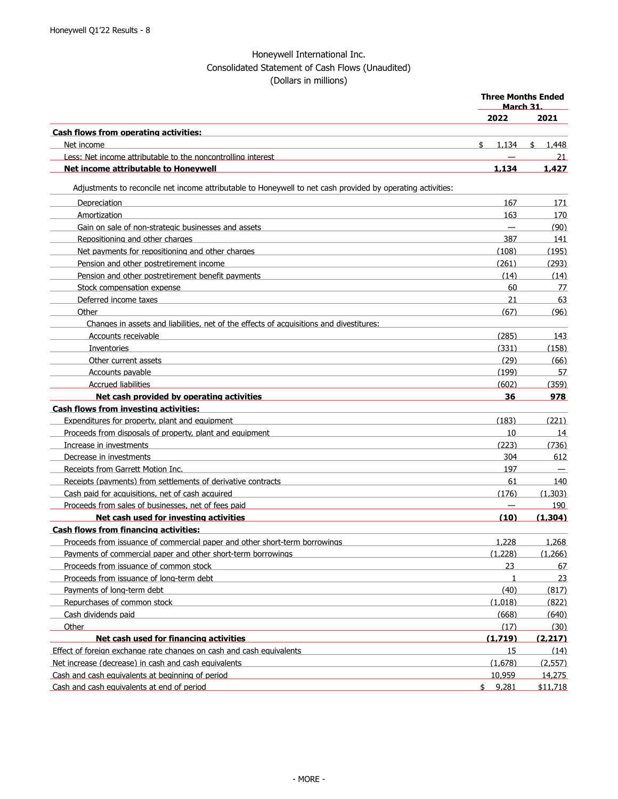# Honeywell International Inc. Consolidated Statement of Cash Flows (Unaudited) (Dollars in millions)

|                                                                                                             | <b>Three Months Ended</b><br><u>March 31.</u> |         |                          |
|-------------------------------------------------------------------------------------------------------------|-----------------------------------------------|---------|--------------------------|
|                                                                                                             |                                               | 2022    | 2021                     |
| <b>Cash flows from operating activities:</b>                                                                |                                               |         |                          |
| Net income                                                                                                  | \$                                            | 1,134   | \$<br>1,448              |
| Less: Net income attributable to the noncontrolling interest                                                |                                               |         | 21                       |
| Net income attributable to Honeywell                                                                        |                                               | 1,134   | 1,427                    |
| Adjustments to reconcile net income attributable to Honeywell to net cash provided by operating activities: |                                               |         |                          |
| Depreciation                                                                                                |                                               | 167     | 171                      |
| Amortization                                                                                                |                                               | 163     | 170                      |
| Gain on sale of non-strategic businesses and assets                                                         |                                               |         | (90)                     |
| Repositioning and other charges                                                                             |                                               | 387     | 141                      |
| Net payments for repositioning and other charges                                                            |                                               | (108)   | (195)                    |
| Pension and other postretirement income                                                                     |                                               | (261)   | (293)                    |
| Pension and other postretirement benefit payments                                                           |                                               | (14)    | (14)                     |
| Stock compensation expense                                                                                  |                                               | 60      | 77                       |
| Deferred income taxes                                                                                       |                                               | 21      | 63                       |
| Other                                                                                                       |                                               | (67)    | (96)                     |
| Changes in assets and liabilities, net of the effects of acquisitions and divestitures:                     |                                               |         |                          |
| Accounts receivable                                                                                         |                                               | (285)   | 143                      |
| Inventories                                                                                                 |                                               | (331)   | (158)                    |
| Other current assets                                                                                        |                                               | (29)    | (66)                     |
| Accounts payable                                                                                            |                                               | (199)   | 57                       |
| <b>Accrued liabilities</b>                                                                                  |                                               | (602)   | (359)                    |
| Net cash provided by operating activities                                                                   |                                               | 36      | 978                      |
| <b>Cash flows from investing activities:</b>                                                                |                                               |         |                          |
| Expenditures for property, plant and equipment                                                              |                                               | (183)   | (221)                    |
| Proceeds from disposals of property, plant and equipment                                                    |                                               | 10      | 14                       |
| Increase in investments                                                                                     |                                               | (223)   | (736)                    |
| Decrease in investments                                                                                     |                                               | 304     | 612                      |
| Receipts from Garrett Motion Inc.                                                                           |                                               | 197     | $\overline{\phantom{m}}$ |
| Receipts (payments) from settlements of derivative contracts                                                |                                               | 61      | 140                      |
| Cash paid for acquisitions, net of cash acquired                                                            |                                               | (176)   | (1.303)                  |
| Proceeds from sales of businesses, net of fees paid                                                         |                                               |         | 190                      |
| Net cash used for investing activities                                                                      |                                               | (10)    | (1.304)                  |
| <b>Cash flows from financing activities:</b>                                                                |                                               |         |                          |
| Proceeds from issuance of commercial paper and other short-term borrowings                                  |                                               | 1,228   | 1.268                    |
| Pavments of commercial paper and other short-term borrowings                                                |                                               | (1.228) | (1.266)                  |
| Proceeds from issuance of common stock                                                                      |                                               | 23      | 67                       |
| Proceeds from issuance of long-term debt                                                                    |                                               | 1       | 23                       |
| Payments of long-term debt                                                                                  |                                               | (40)    | (817)                    |
| Repurchases of common stock                                                                                 |                                               | (1.018) | (822)                    |
| Cash dividends paid                                                                                         |                                               | (668)   | (640)                    |
| Other                                                                                                       |                                               | (17)    | (30)                     |
| Net cash used for financing activities                                                                      |                                               | (1.719) | (2.217)                  |
| Effect of foreign exchange rate changes on cash and cash equivalents                                        |                                               | 15      | (14)                     |
| Net increase (decrease) in cash and cash equivalents                                                        |                                               | (1.678) | (2.557)                  |
| Cash and cash equivalents at beginning of period                                                            |                                               | 10.959  | 14.275                   |
| Cash and cash equivalents at end of period                                                                  |                                               | \$9.281 | \$11.718                 |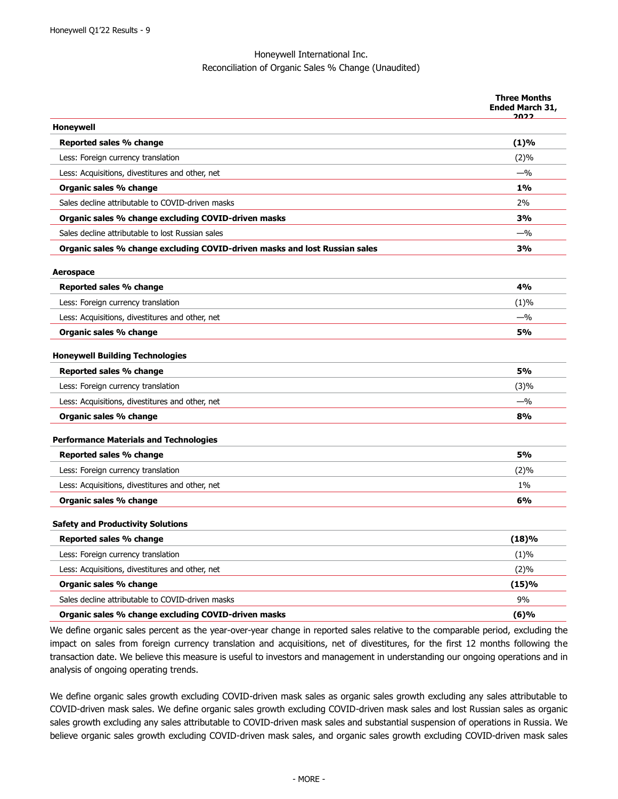### Honeywell International Inc. Reconciliation of Organic Sales % Change (Unaudited)

|                                                                            | <b>Three Months</b><br><b>Ended March 31,</b><br>フロフフ |
|----------------------------------------------------------------------------|-------------------------------------------------------|
| Honeywell                                                                  |                                                       |
| Reported sales % change                                                    | (1)%                                                  |
| Less: Foreign currency translation                                         | $(2)\%$                                               |
| Less: Acquisitions, divestitures and other, net                            | $-$ %                                                 |
| Organic sales % change                                                     | $1\%$                                                 |
| Sales decline attributable to COVID-driven masks                           | 2%                                                    |
| Organic sales % change excluding COVID-driven masks                        | 3%                                                    |
| Sales decline attributable to lost Russian sales                           | $-$ %                                                 |
| Organic sales % change excluding COVID-driven masks and lost Russian sales | 3%                                                    |
| Aerospace                                                                  |                                                       |
| Reported sales % change                                                    | 4%                                                    |
| Less: Foreign currency translation                                         | (1)%                                                  |
| Less: Acquisitions, divestitures and other, net                            | $-$ %                                                 |
| Organic sales % change                                                     | <b>5%</b>                                             |
| <b>Honeywell Building Technologies</b>                                     |                                                       |
| Reported sales % change                                                    | <b>5%</b>                                             |
| Less: Foreign currency translation                                         | (3)%                                                  |
| Less: Acquisitions, divestitures and other, net                            | $-$ %                                                 |
| Organic sales % change                                                     | 8%                                                    |
| <b>Performance Materials and Technologies</b>                              |                                                       |
| Reported sales % change                                                    | 5%                                                    |
| Less: Foreign currency translation                                         | (2)%                                                  |
| Less: Acquisitions, divestitures and other, net                            | $1\%$                                                 |
| Organic sales % change                                                     | 6%                                                    |
| <b>Safety and Productivity Solutions</b>                                   |                                                       |
| Reported sales % change                                                    | (18)%                                                 |
| Less: Foreign currency translation                                         | (1)%                                                  |
| Less: Acquisitions, divestitures and other, net                            | (2)%                                                  |
| Organic sales % change                                                     | (15)%                                                 |
| Sales decline attributable to COVID-driven masks                           | 9%                                                    |
| Organic sales % change excluding COVID-driven masks                        | (6)%                                                  |
|                                                                            |                                                       |

We define organic sales percent as the year-over-year change in reported sales relative to the comparable period, excluding the impact on sales from foreign currency translation and acquisitions, net of divestitures, for the first 12 months following the transaction date. We believe this measure is useful to investors and management in understanding our ongoing operations and in analysis of ongoing operating trends.

We define organic sales growth excluding COVID-driven mask sales as organic sales growth excluding any sales attributable to COVID-driven mask sales. We define organic sales growth excluding COVID-driven mask sales and lost Russian sales as organic sales growth excluding any sales attributable to COVID-driven mask sales and substantial suspension of operations in Russia. We believe organic sales growth excluding COVID-driven mask sales, and organic sales growth excluding COVID-driven mask sales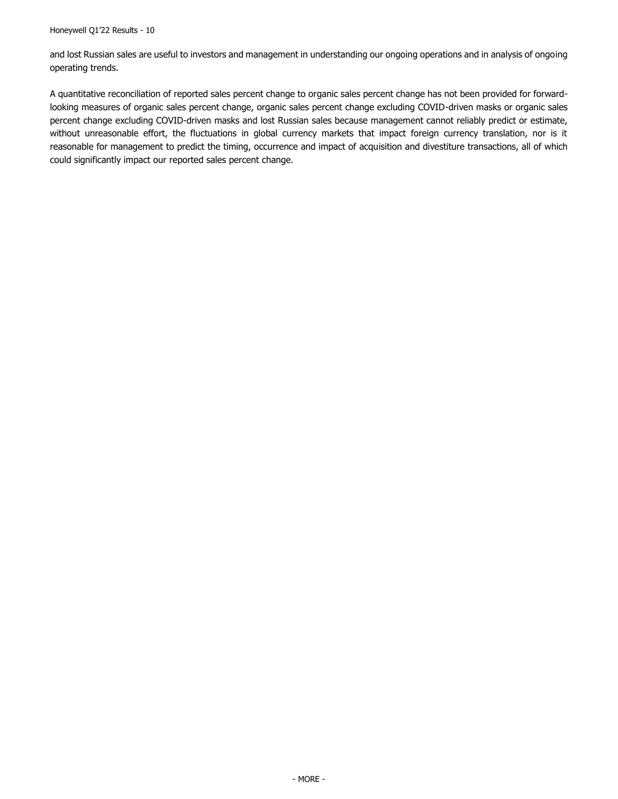and lost Russian sales are useful to investors and management in understanding our ongoing operations and in analysis of ongoing operating trends.

A quantitative reconciliation of reported sales percent change to organic sales percent change has not been provided for forwardlooking measures of organic sales percent change, organic sales percent change excluding COVID-driven masks or organic sales percent change excluding COVID-driven masks and lost Russian sales because management cannot reliably predict or estimate, without unreasonable effort, the fluctuations in global currency markets that impact foreign currency translation, nor is it reasonable for management to predict the timing, occurrence and impact of acquisition and divestiture transactions, all of which could significantly impact our reported sales percent change.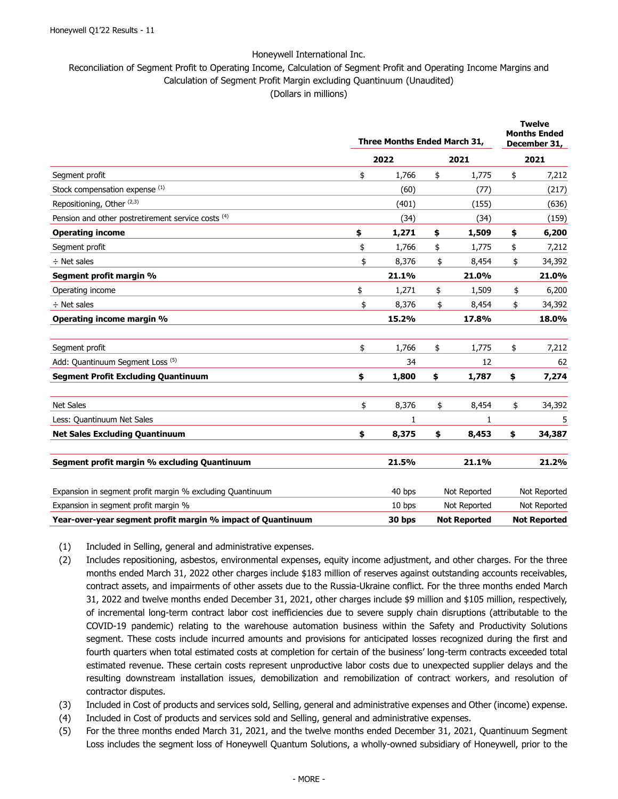### Reconciliation of Segment Profit to Operating Income, Calculation of Segment Profit and Operating Income Margins and Calculation of Segment Profit Margin excluding Quantinuum (Unaudited) (Dollars in millions)

|                                                             | Three Months Ended March 31, |        |    | <b>Twelve</b><br><b>Months Ended</b><br>December 31, |    |                     |
|-------------------------------------------------------------|------------------------------|--------|----|------------------------------------------------------|----|---------------------|
|                                                             |                              | 2022   |    | 2021                                                 |    | 2021                |
| Segment profit                                              | \$                           | 1,766  | \$ | 1,775                                                | \$ | 7,212               |
| Stock compensation expense (1)                              |                              | (60)   |    | (77)                                                 |    | (217)               |
| Repositioning, Other <sup>(2,3)</sup>                       |                              | (401)  |    | (155)                                                |    | (636)               |
| Pension and other postretirement service costs (4)          |                              | (34)   |    | (34)                                                 |    | (159)               |
| <b>Operating income</b>                                     | \$                           | 1,271  | \$ | 1,509                                                | \$ | 6,200               |
| Segment profit                                              | \$                           | 1,766  | \$ | 1,775                                                | \$ | 7,212               |
| $\div$ Net sales                                            | \$                           | 8,376  | \$ | 8,454                                                | \$ | 34,392              |
| Segment profit margin %                                     |                              | 21.1%  |    | 21.0%                                                |    | 21.0%               |
| Operating income                                            | \$                           | 1,271  | \$ | 1,509                                                | \$ | 6,200               |
| $\div$ Net sales                                            | \$                           | 8,376  | \$ | 8,454                                                | \$ | 34,392              |
| Operating income margin %                                   |                              | 15.2%  |    | 17.8%                                                |    | 18.0%               |
| Segment profit                                              | \$                           | 1,766  | \$ | 1,775                                                | \$ | 7,212               |
| Add: Quantinuum Segment Loss (5)                            |                              | 34     |    | 12                                                   |    | 62                  |
| <b>Segment Profit Excluding Quantinuum</b>                  | \$                           | 1,800  | \$ | 1,787                                                | \$ | 7,274               |
| <b>Net Sales</b>                                            | \$                           | 8,376  | \$ | 8,454                                                | \$ | 34,392              |
| Less: Quantinuum Net Sales                                  |                              | 1      |    | 1                                                    |    |                     |
| <b>Net Sales Excluding Quantinuum</b>                       | \$                           | 8,375  | \$ | 8,453                                                | \$ | 34,387              |
| Segment profit margin % excluding Quantinuum                |                              | 21.5%  |    | 21.1%                                                |    | 21.2%               |
| Expansion in segment profit margin % excluding Quantinuum   |                              | 40 bps |    | Not Reported                                         |    | Not Reported        |
| Expansion in segment profit margin %                        |                              | 10 bps |    | Not Reported                                         |    | Not Reported        |
| Year-over-year segment profit margin % impact of Quantinuum |                              | 30 bps |    | <b>Not Reported</b>                                  |    | <b>Not Reported</b> |

- (1) Included in Selling, general and administrative expenses.
- (2) Includes repositioning, asbestos, environmental expenses, equity income adjustment, and other charges. For the three months ended March 31, 2022 other charges include \$183 million of reserves against outstanding accounts receivables, contract assets, and impairments of other assets due to the Russia-Ukraine conflict. For the three months ended March 31, 2022 and twelve months ended December 31, 2021, other charges include \$9 million and \$105 million, respectively, of incremental long-term contract labor cost inefficiencies due to severe supply chain disruptions (attributable to the COVID-19 pandemic) relating to the warehouse automation business within the Safety and Productivity Solutions segment. These costs include incurred amounts and provisions for anticipated losses recognized during the first and fourth quarters when total estimated costs at completion for certain of the business' long-term contracts exceeded total estimated revenue. These certain costs represent unproductive labor costs due to unexpected supplier delays and the resulting downstream installation issues, demobilization and remobilization of contract workers, and resolution of contractor disputes.
- (3) Included in Cost of products and services sold, Selling, general and administrative expenses and Other (income) expense.
- (4) Included in Cost of products and services sold and Selling, general and administrative expenses.
- (5) For the three months ended March 31, 2021, and the twelve months ended December 31, 2021, Quantinuum Segment Loss includes the segment loss of Honeywell Quantum Solutions, a wholly-owned subsidiary of Honeywell, prior to the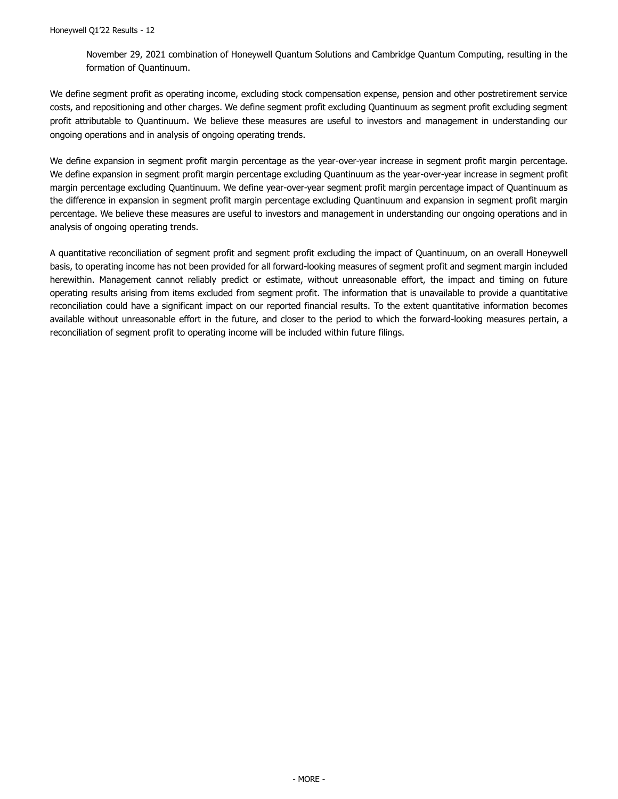November 29, 2021 combination of Honeywell Quantum Solutions and Cambridge Quantum Computing, resulting in the formation of Quantinuum.

We define segment profit as operating income, excluding stock compensation expense, pension and other postretirement service costs, and repositioning and other charges. We define segment profit excluding Quantinuum as segment profit excluding segment profit attributable to Quantinuum. We believe these measures are useful to investors and management in understanding our ongoing operations and in analysis of ongoing operating trends.

We define expansion in segment profit margin percentage as the year-over-year increase in segment profit margin percentage. We define expansion in segment profit margin percentage excluding Quantinuum as the year-over-year increase in segment profit margin percentage excluding Quantinuum. We define year-over-year segment profit margin percentage impact of Quantinuum as the difference in expansion in segment profit margin percentage excluding Quantinuum and expansion in segment profit margin percentage. We believe these measures are useful to investors and management in understanding our ongoing operations and in analysis of ongoing operating trends.

A quantitative reconciliation of segment profit and segment profit excluding the impact of Quantinuum, on an overall Honeywell basis, to operating income has not been provided for all forward-looking measures of segment profit and segment margin included herewithin. Management cannot reliably predict or estimate, without unreasonable effort, the impact and timing on future operating results arising from items excluded from segment profit. The information that is unavailable to provide a quantitative reconciliation could have a significant impact on our reported financial results. To the extent quantitative information becomes available without unreasonable effort in the future, and closer to the period to which the forward-looking measures pertain, a reconciliation of segment profit to operating income will be included within future filings.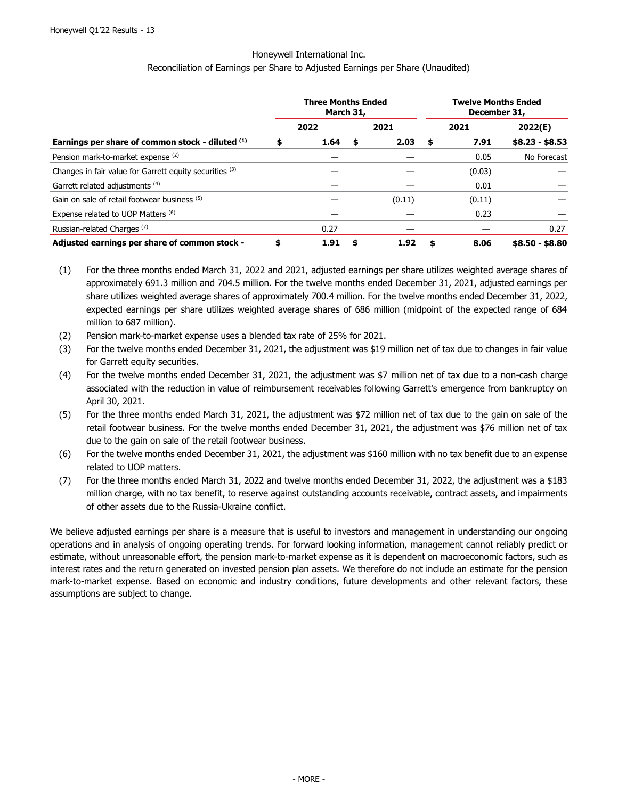#### Reconciliation of Earnings per Share to Adjusted Earnings per Share (Unaudited)

|                                                         | <b>Three Months Ended</b><br>March 31, |    |        |    | <b>Twelve Months Ended</b><br>December 31, |                 |
|---------------------------------------------------------|----------------------------------------|----|--------|----|--------------------------------------------|-----------------|
|                                                         | 2022                                   |    | 2021   |    | 2021                                       | 2022(E)         |
| Earnings per share of common stock - diluted (1)        | \$<br>1.64                             | \$ | 2.03   | \$ | 7.91                                       | $$8.23 - $8.53$ |
| Pension mark-to-market expense (2)                      |                                        |    |        |    | 0.05                                       | No Forecast     |
| Changes in fair value for Garrett equity securities (3) |                                        |    |        |    | (0.03)                                     |                 |
| Garrett related adjustments (4)                         |                                        |    |        |    | 0.01                                       |                 |
| Gain on sale of retail footwear business (5)            |                                        |    | (0.11) |    | (0.11)                                     |                 |
| Expense related to UOP Matters (6)                      |                                        |    |        |    | 0.23                                       |                 |
| Russian-related Charges <sup>(7)</sup>                  | 0.27                                   |    |        |    |                                            | 0.27            |
| Adjusted earnings per share of common stock -           | \$<br>1.91                             | S  | 1.92   | S  | 8.06                                       | $$8.50 - $8.80$ |

- (1) For the three months ended March 31, 2022 and 2021, adjusted earnings per share utilizes weighted average shares of approximately 691.3 million and 704.5 million. For the twelve months ended December 31, 2021, adjusted earnings per share utilizes weighted average shares of approximately 700.4 million. For the twelve months ended December 31, 2022, expected earnings per share utilizes weighted average shares of 686 million (midpoint of the expected range of 684 million to 687 million).
- (2) Pension mark-to-market expense uses a blended tax rate of 25% for 2021.
- (3) For the twelve months ended December 31, 2021, the adjustment was \$19 million net of tax due to changes in fair value for Garrett equity securities.
- (4) For the twelve months ended December 31, 2021, the adjustment was \$7 million net of tax due to a non-cash charge associated with the reduction in value of reimbursement receivables following Garrett's emergence from bankruptcy on April 30, 2021.
- (5) For the three months ended March 31, 2021, the adjustment was \$72 million net of tax due to the gain on sale of the retail footwear business. For the twelve months ended December 31, 2021, the adjustment was \$76 million net of tax due to the gain on sale of the retail footwear business.
- (6) For the twelve months ended December 31, 2021, the adjustment was \$160 million with no tax benefit due to an expense related to UOP matters.
- (7) For the three months ended March 31, 2022 and twelve months ended December 31, 2022, the adjustment was a \$183 million charge, with no tax benefit, to reserve against outstanding accounts receivable, contract assets, and impairments of other assets due to the Russia-Ukraine conflict.

We believe adjusted earnings per share is a measure that is useful to investors and management in understanding our ongoing operations and in analysis of ongoing operating trends. For forward looking information, management cannot reliably predict or estimate, without unreasonable effort, the pension mark-to-market expense as it is dependent on macroeconomic factors, such as interest rates and the return generated on invested pension plan assets. We therefore do not include an estimate for the pension mark-to-market expense. Based on economic and industry conditions, future developments and other relevant factors, these assumptions are subject to change.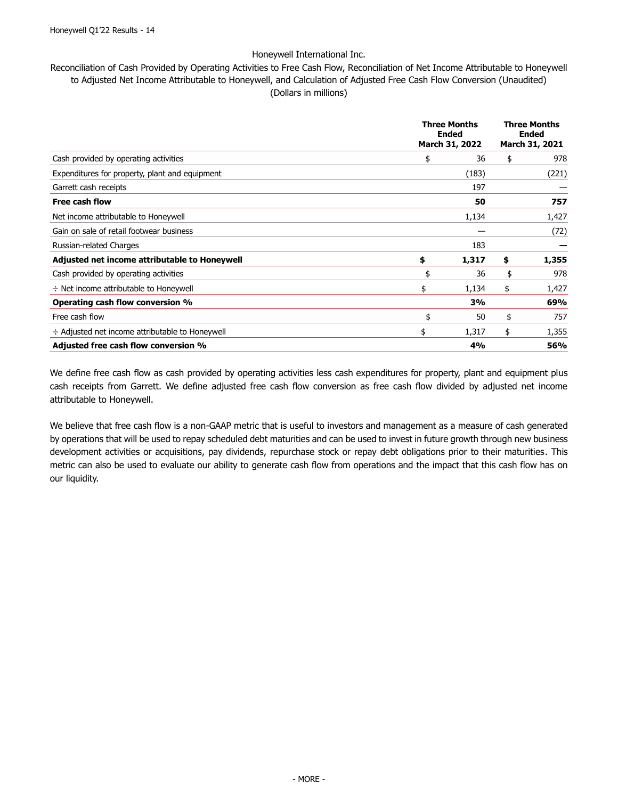Reconciliation of Cash Provided by Operating Activities to Free Cash Flow, Reconciliation of Net Income Attributable to Honeywell to Adjusted Net Income Attributable to Honeywell, and Calculation of Adjusted Free Cash Flow Conversion (Unaudited) (Dollars in millions)

|                                                      | <b>Three Months</b><br><b>Ended</b><br>March 31, 2022 | <b>Three Months</b><br><b>Ended</b><br>March 31, 2021 |  |
|------------------------------------------------------|-------------------------------------------------------|-------------------------------------------------------|--|
| Cash provided by operating activities                | \$<br>36                                              | \$<br>978                                             |  |
| Expenditures for property, plant and equipment       | (183)                                                 | (221)                                                 |  |
| Garrett cash receipts                                | 197                                                   |                                                       |  |
| <b>Free cash flow</b>                                | 50                                                    | 757                                                   |  |
| Net income attributable to Honeywell                 | 1,134                                                 | 1,427                                                 |  |
| Gain on sale of retail footwear business             |                                                       | (72)                                                  |  |
| Russian-related Charges                              | 183                                                   |                                                       |  |
| Adjusted net income attributable to Honeywell        | \$<br>1,317                                           | \$<br>1,355                                           |  |
| Cash provided by operating activities                | \$<br>36                                              | \$<br>978                                             |  |
| $\div$ Net income attributable to Honeywell          | 1,134<br>\$                                           | \$<br>1,427                                           |  |
| Operating cash flow conversion %                     | 3%                                                    | 69%                                                   |  |
| Free cash flow                                       | \$<br>50                                              | \$<br>757                                             |  |
| $\div$ Adjusted net income attributable to Honeywell | \$<br>1,317                                           | \$<br>1,355                                           |  |
| Adjusted free cash flow conversion %                 | 4%                                                    | 56%                                                   |  |

We define free cash flow as cash provided by operating activities less cash expenditures for property, plant and equipment plus cash receipts from Garrett. We define adjusted free cash flow conversion as free cash flow divided by adjusted net income attributable to Honeywell.

We believe that free cash flow is a non-GAAP metric that is useful to investors and management as a measure of cash generated by operations that will be used to repay scheduled debt maturities and can be used to invest in future growth through new business development activities or acquisitions, pay dividends, repurchase stock or repay debt obligations prior to their maturities. This metric can also be used to evaluate our ability to generate cash flow from operations and the impact that this cash flow has on our liquidity.